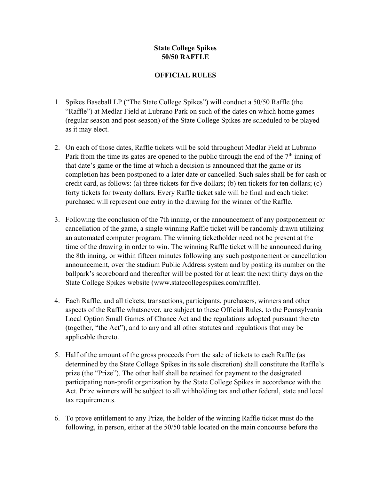## **State College Spikes 50/50 RAFFLE**

## **OFFICIAL RULES**

- 1. Spikes Baseball LP ("The State College Spikes") will conduct a 50/50 Raffle (the "Raffle") at Medlar Field at Lubrano Park on such of the dates on which home games (regular season and post-season) of the State College Spikes are scheduled to be played as it may elect.
- 2. On each of those dates, Raffle tickets will be sold throughout Medlar Field at Lubrano Park from the time its gates are opened to the public through the end of the  $7<sup>th</sup>$  inning of that date's game or the time at which a decision is announced that the game or its completion has been postponed to a later date or cancelled. Such sales shall be for cash or credit card, as follows: (a) three tickets for five dollars; (b) ten tickets for ten dollars; (c) forty tickets for twenty dollars. Every Raffle ticket sale will be final and each ticket purchased will represent one entry in the drawing for the winner of the Raffle.
- 3. Following the conclusion of the 7th inning, or the announcement of any postponement or cancellation of the game, a single winning Raffle ticket will be randomly drawn utilizing an automated computer program. The winning ticketholder need not be present at the time of the drawing in order to win. The winning Raffle ticket will be announced during the 8th inning, or within fifteen minutes following any such postponement or cancellation announcement, over the stadium Public Address system and by posting its number on the ballpark's scoreboard and thereafter will be posted for at least the next thirty days on the State College Spikes website (www.statecollegespikes.com/raffle).
- 4. Each Raffle, and all tickets, transactions, participants, purchasers, winners and other aspects of the Raffle whatsoever, are subject to these Official Rules, to the Pennsylvania Local Option Small Games of Chance Act and the regulations adopted pursuant thereto (together, "the Act"), and to any and all other statutes and regulations that may be applicable thereto.
- 5. Half of the amount of the gross proceeds from the sale of tickets to each Raffle (as determined by the State College Spikes in its sole discretion) shall constitute the Raffle's prize (the "Prize"). The other half shall be retained for payment to the designated participating non-profit organization by the State College Spikes in accordance with the Act. Prize winners will be subject to all withholding tax and other federal, state and local tax requirements.
- 6. To prove entitlement to any Prize, the holder of the winning Raffle ticket must do the following, in person, either at the 50/50 table located on the main concourse before the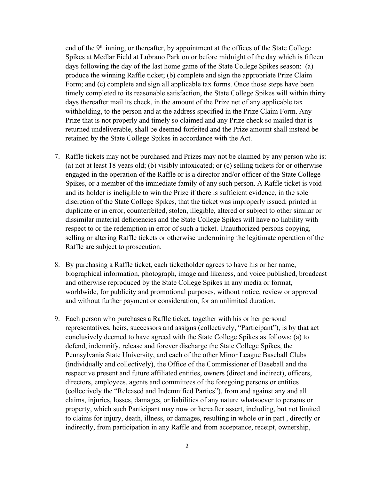end of the 9<sup>th</sup> inning, or thereafter, by appointment at the offices of the State College Spikes at Medlar Field at Lubrano Park on or before midnight of the day which is fifteen days following the day of the last home game of the State College Spikes season: (a) produce the winning Raffle ticket; (b) complete and sign the appropriate Prize Claim Form; and (c) complete and sign all applicable tax forms. Once those steps have been timely completed to its reasonable satisfaction, the State College Spikes will within thirty days thereafter mail its check, in the amount of the Prize net of any applicable tax withholding, to the person and at the address specified in the Prize Claim Form. Any Prize that is not properly and timely so claimed and any Prize check so mailed that is returned undeliverable, shall be deemed forfeited and the Prize amount shall instead be retained by the State College Spikes in accordance with the Act.

- 7. Raffle tickets may not be purchased and Prizes may not be claimed by any person who is: (a) not at least 18 years old; (b) visibly intoxicated; or (c) selling tickets for or otherwise engaged in the operation of the Raffle or is a director and/or officer of the State College Spikes, or a member of the immediate family of any such person. A Raffle ticket is void and its holder is ineligible to win the Prize if there is sufficient evidence, in the sole discretion of the State College Spikes, that the ticket was improperly issued, printed in duplicate or in error, counterfeited, stolen, illegible, altered or subject to other similar or dissimilar material deficiencies and the State College Spikes will have no liability with respect to or the redemption in error of such a ticket. Unauthorized persons copying, selling or altering Raffle tickets or otherwise undermining the legitimate operation of the Raffle are subject to prosecution.
- 8. By purchasing a Raffle ticket, each ticketholder agrees to have his or her name, biographical information, photograph, image and likeness, and voice published, broadcast and otherwise reproduced by the State College Spikes in any media or format, worldwide, for publicity and promotional purposes, without notice, review or approval and without further payment or consideration, for an unlimited duration.
- 9. Each person who purchases a Raffle ticket, together with his or her personal representatives, heirs, successors and assigns (collectively, "Participant"), is by that act conclusively deemed to have agreed with the State College Spikes as follows: (a) to defend, indemnify, release and forever discharge the State College Spikes, the Pennsylvania State University, and each of the other Minor League Baseball Clubs (individually and collectively), the Office of the Commissioner of Baseball and the respective present and future affiliated entities, owners (direct and indirect), officers, directors, employees, agents and committees of the foregoing persons or entities (collectively the "Released and Indemnified Parties"), from and against any and all claims, injuries, losses, damages, or liabilities of any nature whatsoever to persons or property, which such Participant may now or hereafter assert, including, but not limited to claims for injury, death, illness, or damages, resulting in whole or in part , directly or indirectly, from participation in any Raffle and from acceptance, receipt, ownership,